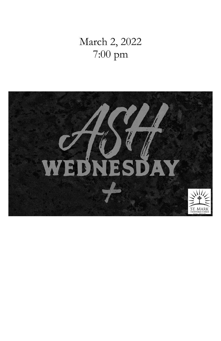# March 2, 2022 7:00 pm

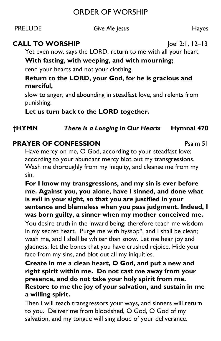# ORDER OF WORSHIP

PRELUDE *Give Me Jesus* Hayes

## **CALL TO WORSHIP**  $|oe|$  2:1, 12–13

Yet even now, says the LORD, return to me with all your heart,

## **With fasting, with weeping, and with mourning;**

rend your hearts and not your clothing.

#### **Return to the LORD, your God, for he is gracious and merciful,**

slow to anger, and abounding in steadfast love, and relents from punishing.

**Let us turn back to the LORD together.**

# **†HYMN** *There Is a Longing in Our Hearts* **Hymnal 470**

# **PRAYER OF CONFESSION PRAYER OF CONFESSION**

Have mercy on me, O God, according to your steadfast love; according to your abundant mercy blot out my transgressions. Wash me thoroughly from my iniquity, and cleanse me from my sin.

#### **For I know my transgressions, and my sin is ever before me. Against you, you alone, have I sinned, and done what is evil in your sight, so that you are justified in your sentence and blameless when you pass judgment. Indeed, I was born guilty, a sinner when my mother conceived me.**

You desire truth in the inward being; therefore teach me wisdom in my secret heart. Purge me with hyssop\*, and I shall be clean; wash me, and I shall be whiter than snow. Let me hear joy and gladness; let the bones that you have crushed rejoice. Hide your face from my sins, and blot out all my iniquities.

**Create in me a clean heart, O God, and put a new and right spirit within me. Do not cast me away from your presence, and do not take your holy spirit from me. Restore to me the joy of your salvation, and sustain in me a willing spirit.**

Then I will teach transgressors your ways, and sinners will return to you. Deliver me from bloodshed, O God, O God of my salvation, and my tongue will sing aloud of your deliverance.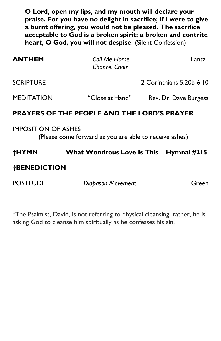**O Lord, open my lips, and my mouth will declare your praise. For you have no delight in sacrifice; if I were to give a burnt offering, you would not be pleased. The sacrifice acceptable to God is a broken spirit; a broken and contrite heart, O God, you will not despise.** (Silent Confession)

| <b>ANTHEM</b>                                                                        | Call Me Home<br><b>Chancel Choir</b> | Lantz                    |
|--------------------------------------------------------------------------------------|--------------------------------------|--------------------------|
| <b>SCRIPTURE</b>                                                                     |                                      | 2 Corinthians 5:20b-6:10 |
| <b>MEDITATION</b>                                                                    | "Close at Hand"                      | Rev. Dr. Dave Burgess    |
| <b>PRAYERS OF THE PEOPLE AND THE LORD'S PRAYER</b>                                   |                                      |                          |
| <b>IMPOSITION OF ASHES</b><br>(Please come forward as you are able to receive ashes) |                                      |                          |
| †HYMN                                                                                | What Wondrous Love Is This           | Hymnal $#215$            |
| <b>†BENEDICTION</b>                                                                  |                                      |                          |

POSTLUDE *Diapason Movement* Green

\*The Psalmist, David, is not referring to physical cleansing; rather, he is asking God to cleanse him spiritually as he confesses his sin.